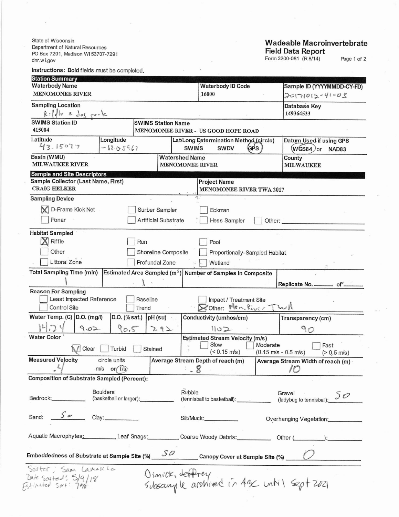State of Wisconsin Department of Natural Resources PO Box 7291, Madison WI 53707-7291 dnr.wi.gov

## Instructions: Bold fields must be completed.

## **Wadeable Macroinvertebrate Field Data Report**

Form 3200-081 (R 8/14)

Page 1 of 2

| <b>Station Summary</b>                                                                                         |                                     |  |                                                                       |                                                                             |                                                              |  |  |  |  |
|----------------------------------------------------------------------------------------------------------------|-------------------------------------|--|-----------------------------------------------------------------------|-----------------------------------------------------------------------------|--------------------------------------------------------------|--|--|--|--|
| <b>Waterbody Name</b>                                                                                          | <b>Waterbody ID Code</b>            |  | Sample ID (YYYYMMDD-CY-FD)                                            |                                                                             |                                                              |  |  |  |  |
| <b>MENOMONEE RIVER</b>                                                                                         | 16000                               |  | $20171012 - 41 - 03$                                                  |                                                                             |                                                              |  |  |  |  |
| <b>Sampling Location</b><br>$R: 1.11e$ e dos port                                                              |                                     |  |                                                                       | Database Key<br>149364533                                                   |                                                              |  |  |  |  |
| <b>SWIMS Station ID</b>                                                                                        | <b>SWIMS Station Name</b>           |  |                                                                       |                                                                             |                                                              |  |  |  |  |
| 415004                                                                                                         | MENOMONEE RIVER - US GOOD HOPE ROAD |  |                                                                       |                                                                             |                                                              |  |  |  |  |
| Latitude<br>Longitude<br>43.15077<br>$-88.0.5967$                                                              |                                     |  | Lat/Long Determination Method (circle)<br><b>SWIMS</b><br><b>SWDV</b> | Datum Used if using GPS<br>$W$ GS84 $)$ or<br>NAD83                         |                                                              |  |  |  |  |
| Basin (WMU)<br><b>Watershed Name</b><br><b>MILWAUKEE RIVER</b>                                                 |                                     |  | <b>MENOMONEE RIVER</b>                                                | County<br><b>MILWAUKEE</b>                                                  |                                                              |  |  |  |  |
| <b>Sample and Site Descriptors</b>                                                                             |                                     |  |                                                                       |                                                                             |                                                              |  |  |  |  |
| Sample Collector (Last Name, First)<br><b>CRAIG HELKER</b>                                                     |                                     |  | <b>Project Name</b><br><b>MENOMONEE RIVER TWA 2017</b>                |                                                                             |                                                              |  |  |  |  |
| <b>Sampling Device</b>                                                                                         |                                     |  |                                                                       |                                                                             |                                                              |  |  |  |  |
| D-Frame Kick Net                                                                                               | Surber Sampler                      |  | Eckman                                                                |                                                                             |                                                              |  |  |  |  |
| Ponar                                                                                                          | Artificial Substrate                |  | Hess Sampler                                                          | Other:                                                                      |                                                              |  |  |  |  |
| <b>Habitat Sampled</b>                                                                                         |                                     |  |                                                                       |                                                                             |                                                              |  |  |  |  |
| Riffle<br>Run<br>Pool                                                                                          |                                     |  |                                                                       |                                                                             |                                                              |  |  |  |  |
| Other<br>Shoreline Composite<br>Proportionally-Sampled Habitat                                                 |                                     |  |                                                                       |                                                                             |                                                              |  |  |  |  |
| Littoral Zone                                                                                                  | Profundal Zone                      |  | Wetland                                                               |                                                                             |                                                              |  |  |  |  |
| <b>Total Sampling Time (min)</b>                                                                               |                                     |  | Estimated Area Sampled $(m2)$ Number of Samples in Composite          |                                                                             |                                                              |  |  |  |  |
|                                                                                                                |                                     |  |                                                                       |                                                                             | Replicate No. __________ of'_                                |  |  |  |  |
| <b>Reason For Sampling</b><br>Least Impacted Reference<br>Control Site                                         | <b>Baseline</b><br>Trend            |  | Impact / Treatment Site<br>Stother: Men. River Twk                    |                                                                             |                                                              |  |  |  |  |
| Water Temp. (C) D.O. (mg/l)<br>D.O. (% sat.)                                                                   | pH (su)                             |  | Conductivity (umhos/cm)                                               |                                                                             | Transparency (cm)                                            |  |  |  |  |
| 90.5<br>9.02                                                                                                   | 7.92                                |  | 1102                                                                  |                                                                             | 90                                                           |  |  |  |  |
| <b>Water Color</b><br>Clear<br>Turbid<br>Stained                                                               |                                     |  | <b>Estimated Stream Velocity (m/s)</b><br>Slow<br>$(< 0.15$ m/s)      | Moderate<br>Fast<br>$(0.15 \text{ m/s} - 0.5 \text{ m/s})$<br>$(> 0.5$ m/s) |                                                              |  |  |  |  |
| <b>Measured Velocity</b><br>circle units                                                                       |                                     |  | Average Stream Depth of reach (m)                                     |                                                                             | Average Stream Width of reach (m)                            |  |  |  |  |
| $m/s$ or $f/s$                                                                                                 |                                     |  |                                                                       |                                                                             |                                                              |  |  |  |  |
| <b>Composition of Substrate Sampled (Percent):</b>                                                             |                                     |  |                                                                       |                                                                             |                                                              |  |  |  |  |
| <b>Boulders</b><br>(basketball or larger):<br>Bedrock:___________                                              |                                     |  | Rubble                                                                | Gravel<br>Gravel (ladybug to tennisball): $5\heartsuit$                     |                                                              |  |  |  |  |
| Sand: $\frac{5}{\sqrt{6}}$ Clay:                                                                               |                                     |  | Silt/Muck: _____________                                              | Overhanging Vegetation:                                                     |                                                              |  |  |  |  |
| Aquatic Macrophytes: Leaf Snags: Coarse Woody Debris: Other (Community Community Community Community Community |                                     |  |                                                                       |                                                                             |                                                              |  |  |  |  |
| Embeddedness of Substrate at Sample Site (%) $SO$ Canopy Cover at Sample Site (%) $O$                          |                                     |  |                                                                       |                                                                             |                                                              |  |  |  |  |
| Sorter ; Sam Lamorche<br>Date sosted: 5/9/18<br>Fstivated sof: 700                                             |                                     |  |                                                                       |                                                                             | Dimick, depprey<br>Subsample archived in Aze until Sept 2021 |  |  |  |  |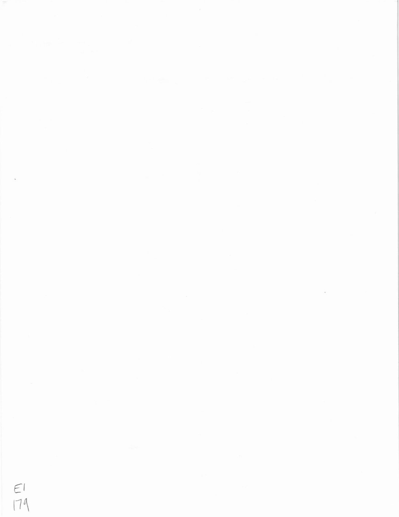$rac{1}{179}$